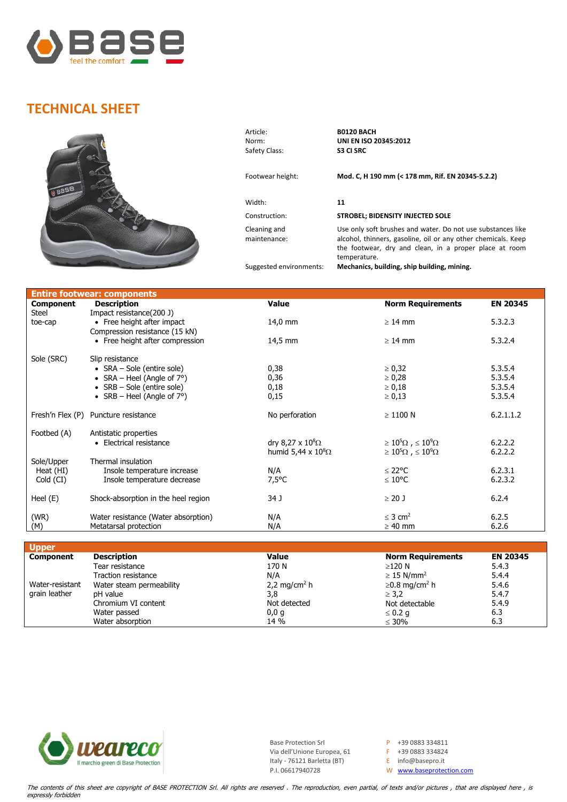

## **TECHNICAL SHEET**



Article: **B0120 BACH Safety Class:** 

Width: **11**

Cleaning and maintenance:

Norm: **UNI EN ISO 20345:2012**

## Footwear height: **Mod. C, H 190 mm (< 178 mm, Rif. EN 20345-5.2.2)**

## Construction: **STROBEL; BIDENSITY INJECTED SOLE**

Use only soft brushes and water. Do not use substances like alcohol, thinners, gasoline, oil or any other chemicals. Keep the footwear, dry and clean, in a proper place at room temperature.

Suggested environments: **Mechanics, building, ship building, mining.**

| <b>Entire footwear: components</b> |                                        |                           |                                         |                 |  |  |  |
|------------------------------------|----------------------------------------|---------------------------|-----------------------------------------|-----------------|--|--|--|
| <b>Component</b>                   | <b>Description</b>                     | <b>Value</b>              | <b>Norm Requirements</b>                | <b>EN 20345</b> |  |  |  |
| Steel                              | Impact resistance (200 J)              |                           |                                         |                 |  |  |  |
| toe-cap                            | • Free height after impact             | 14,0 mm                   | $\geq 14$ mm                            | 5.3.2.3         |  |  |  |
|                                    | Compression resistance (15 kN)         |                           |                                         |                 |  |  |  |
|                                    | • Free height after compression        | 14,5 mm                   | $\geq 14$ mm                            | 5.3.2.4         |  |  |  |
| Sole (SRC)                         | Slip resistance                        |                           |                                         |                 |  |  |  |
|                                    | • $SRA - Sole$ (entire sole)           | 0,38                      | $\geq 0,32$                             | 5.3.5.4         |  |  |  |
|                                    | • SRA – Heel (Angle of $7^{\circ}$ )   | 0,36                      | $\geq 0,28$                             | 5.3.5.4         |  |  |  |
|                                    | • $SRB - Sole$ (entire sole)           | 0,18                      | $\geq 0,18$                             | 5.3.5.4         |  |  |  |
|                                    | • $SRB - Heel$ (Angle of $7^{\circ}$ ) | 0,15                      | $\ge 0,13$                              | 5.3.5.4         |  |  |  |
|                                    |                                        |                           |                                         |                 |  |  |  |
| Fresh'n Flex (P)                   | Puncture resistance                    | No perforation            | $\geq$ 1100 N                           | 6.2.1.1.2       |  |  |  |
|                                    |                                        |                           |                                         |                 |  |  |  |
| Footbed (A)                        | Antistatic properties                  |                           |                                         |                 |  |  |  |
|                                    | • Electrical resistance                | dry 8,27 x $10^8\Omega$   | $\geq 10^5 \Omega$ , $\leq 10^9 \Omega$ | 6.2.2.2         |  |  |  |
|                                    |                                        | humid 5,44 x $10^8\Omega$ | $\geq 10^5 \Omega$ , $\leq 10^9 \Omega$ | 6.2.2.2         |  |  |  |
| Sole/Upper                         | Thermal insulation                     |                           |                                         |                 |  |  |  |
| Heat (HI)                          | Insole temperature increase            | N/A                       | $\leq$ 22°C                             | 6.2.3.1         |  |  |  |
| Cold (CI)                          | Insole temperature decrease            | $7,5^{\circ}$ C           | $\leq 10^{\circ}$ C                     | 6.2.3.2         |  |  |  |
| Heel $(E)$                         | Shock-absorption in the heel region    | 34 J                      | $\geq$ 20 J                             | 6.2.4           |  |  |  |
|                                    |                                        |                           |                                         |                 |  |  |  |
| (WR)                               | Water resistance (Water absorption)    | N/A                       | $<$ 3 cm <sup>2</sup>                   | 6.2.5           |  |  |  |
| (M)                                | Metatarsal protection                  | N/A                       | $\geq 40$ mm                            | 6.2.6           |  |  |  |

| <b>Upper</b>     |                            |                          |                                 |                 |
|------------------|----------------------------|--------------------------|---------------------------------|-----------------|
| <b>Component</b> | <b>Description</b>         | <b>Value</b>             | <b>Norm Requirements</b>        | <b>EN 20345</b> |
|                  | Tear resistance            | 170 N                    | ≥120 N                          | 5.4.3           |
|                  | <b>Traction resistance</b> | N/A                      | $\geq$ 15 N/mm <sup>2</sup>     | 5.4.4           |
| Water-resistant  | Water steam permeability   | 2,2 mg/cm <sup>2</sup> h | $\geq$ 0.8 mg/cm <sup>2</sup> h | 5.4.6           |
| grain leather    | pH value                   | 3,8                      | $\geq$ 3.2                      | 5.4.7           |
|                  | Chromium VI content        | Not detected             | Not detectable                  | 5.4.9           |
|                  | Water passed               | 0,0,q                    | $\leq 0.2$ q                    | 6.3             |
|                  | Water absorption           | 14 %                     | $\leq 30\%$                     | 6.3             |



Base Protection Srl  $P +39 0883 334811$ <br>Via dell'Unione Europea, 61  $F +39 0883 334824$ Via dell'Unione Europea, 61 Italy - 76121 Barletta (BT) E info@basepro.it<br>P.I. 06617940728 W www.baseprotec

W [www.baseprotection.com](http://www.baseprotection.com/)

The contents of this sheet are copyright of BASE PROTECTION Srl. All rights are reserved . The reproduction, even partial, of texts and/or pictures , that are displayed here , is expressly forbidden